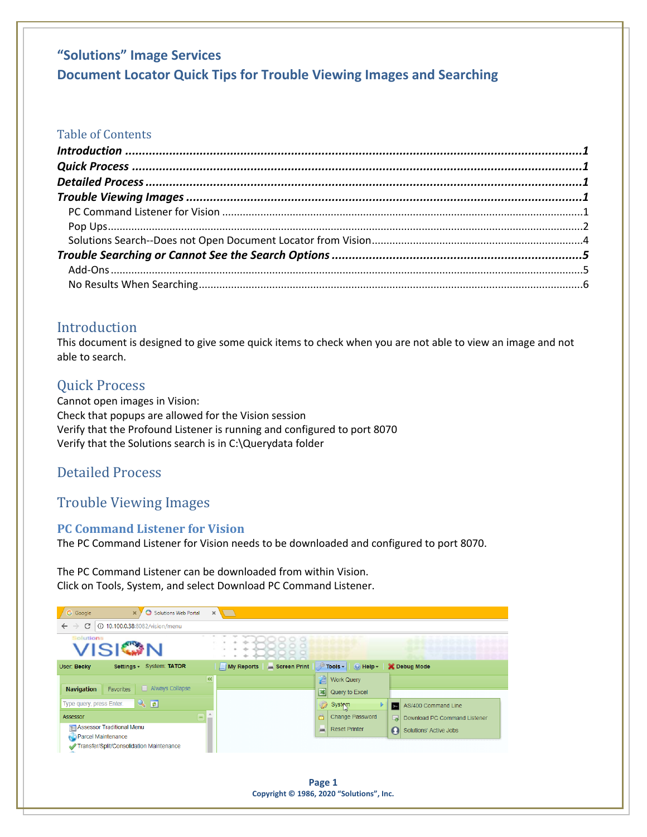#### Table of Contents

### <span id="page-0-0"></span>Introduction

This document is designed to give some quick items to check when you are not able to view an image and not able to search.

### <span id="page-0-1"></span>Quick Process

Cannot open images in Vision: Check that popups are allowed for the Vision session Verify that the Profound Listener is running and configured to port 8070 Verify that the Solutions search is in C:\Querydata folder

## <span id="page-0-2"></span>Detailed Process

## <span id="page-0-3"></span>Trouble Viewing Images

#### <span id="page-0-4"></span>**PC Command Listener for Vision**

The PC Command Listener for Vision needs to be downloaded and configured to port 8070.

The PC Command Listener can be downloaded from within Vision. Click on Tools, System, and select Download PC Command Listener.

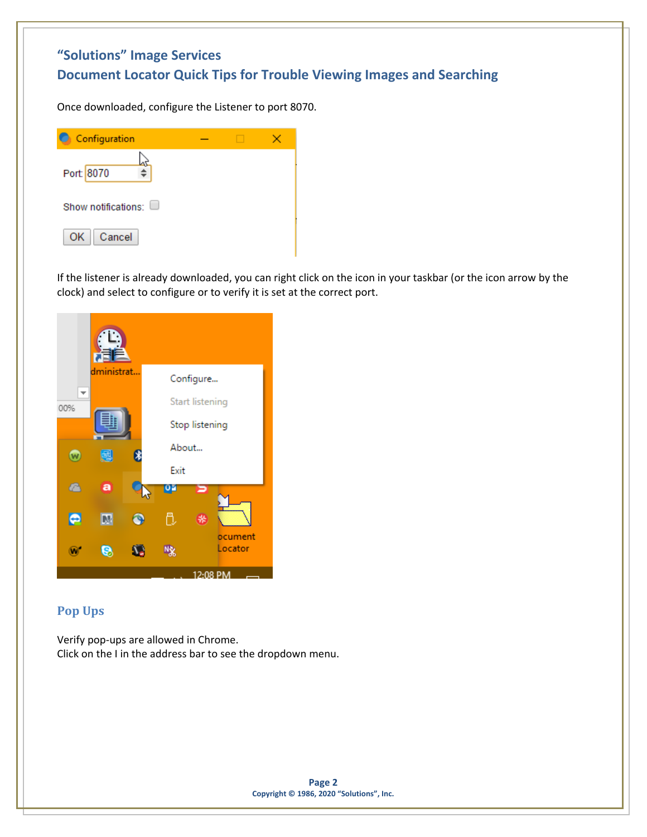Once downloaded, configure the Listener to port 8070.

| C Configuration            |  |  |
|----------------------------|--|--|
| Port: 8070                 |  |  |
| Show notifications: $\Box$ |  |  |
| Cancel<br>OK               |  |  |

If the listener is already downloaded, you can right click on the icon in your taskbar (or the icon arrow by the clock) and select to configure or to verify it is set at the correct port.

|           | dministrat |   |       | Configure              |
|-----------|------------|---|-------|------------------------|
| ▼<br>00%  |            |   |       | <b>Start listening</b> |
|           |            |   |       | Stop listening         |
|           | 鶶          | 8 | About |                        |
|           |            |   | Exit  |                        |
| r         | a          |   | 면     |                        |
| $\bullet$ |            | P | r     | 柴                      |
|           | B          |   | 嘫     | ocument<br>Locator     |
|           |            |   |       | 12:08 PM               |

#### <span id="page-1-0"></span>**Pop Ups**

Verify pop-ups are allowed in Chrome. Click on the I in the address bar to see the dropdown menu.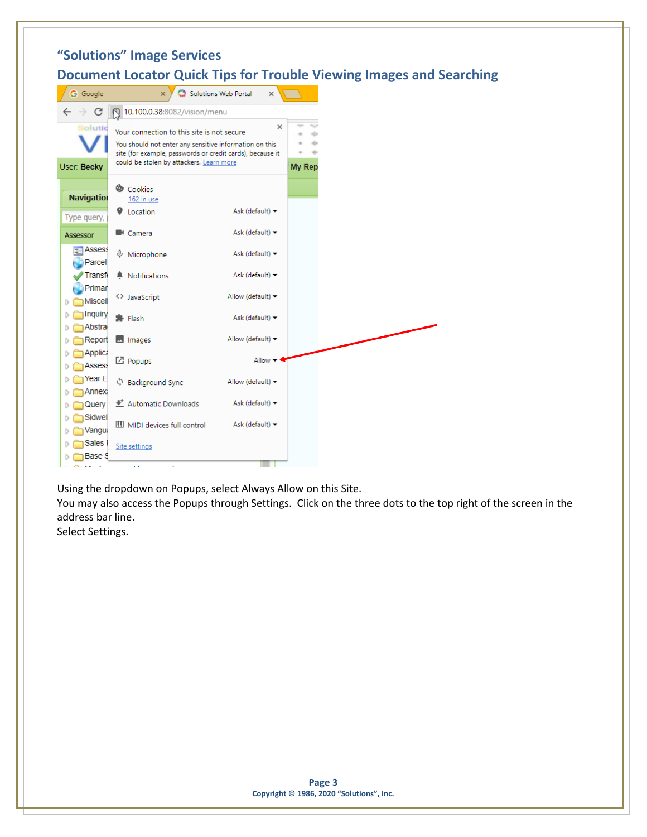|                                    | "Solutions" Image Services                                                                                                                                                                                    |                                      |               |  |  |
|------------------------------------|---------------------------------------------------------------------------------------------------------------------------------------------------------------------------------------------------------------|--------------------------------------|---------------|--|--|
|                                    | <b>Document Locator Quick Tips for Trouble Viewing Images and Searching</b>                                                                                                                                   |                                      |               |  |  |
| <b>G</b> Google                    | $\boldsymbol{\times}$                                                                                                                                                                                         | Solutions Web Portal<br>$\times$     |               |  |  |
| C<br>$\leftarrow$<br>$\rightarrow$ | 10.100.0.38:8082/vision/menu                                                                                                                                                                                  |                                      |               |  |  |
| Solutic<br>User: Becky             | Your connection to this site is not secure<br>You should not enter any sensitive information on this<br>site (for example, passwords or credit cards), because it<br>could be stolen by attackers. Learn more | ×                                    | <b>My Rep</b> |  |  |
| <b>Navigation</b><br>Type query,   | Cookies<br>162 in use<br><b>V</b> Location                                                                                                                                                                    | Ask (default) $\blacktriangledown$   |               |  |  |
| <b>Assessor</b>                    | ■ Camera                                                                                                                                                                                                      | Ask (default) $\blacktriangledown$   |               |  |  |
| $\equiv$ Assess<br>Parcel          | <b>↓</b> Microphone                                                                                                                                                                                           | Ask (default) $\blacktriangledown$   |               |  |  |
| Transf                             | A Notifications                                                                                                                                                                                               | Ask (default) $\blacktriangledown$   |               |  |  |
| Primar<br>Miscell<br>Þ             | <> JavaScript                                                                                                                                                                                                 | Allow (default) $\blacktriangledown$ |               |  |  |
| Inquiry<br>D<br><b>Abstra</b><br>Þ | 寿 Flash                                                                                                                                                                                                       | Ask (default) $\blacktriangledown$   |               |  |  |
| Report<br>Þ                        | mages                                                                                                                                                                                                         | Allow (default) =                    |               |  |  |
| Applica<br>D<br><b>Assess</b><br>D | $\boxtimes$ Popups                                                                                                                                                                                            | Allow $-4$                           |               |  |  |
| Year E<br>D                        | ़ी Background Sync                                                                                                                                                                                            | Allow (default) $\blacktriangledown$ |               |  |  |
| Annexa<br>D<br>Query<br>D          | 些 Automatic Downloads                                                                                                                                                                                         | Ask (default) $\blacktriangledown$   |               |  |  |
| Sidwel<br>D<br>Vangua<br>D         | <b>III</b> MIDI devices full control                                                                                                                                                                          | Ask (default) $\blacktriangledown$   |               |  |  |
| Sales I<br>D<br>Base S<br>D        | Site settings                                                                                                                                                                                                 |                                      |               |  |  |
|                                    |                                                                                                                                                                                                               |                                      |               |  |  |

Using the dropdown on Popups, select Always Allow on this Site.

You may also access the Popups through Settings. Click on the three dots to the top right of the screen in the address bar line.

Select Settings.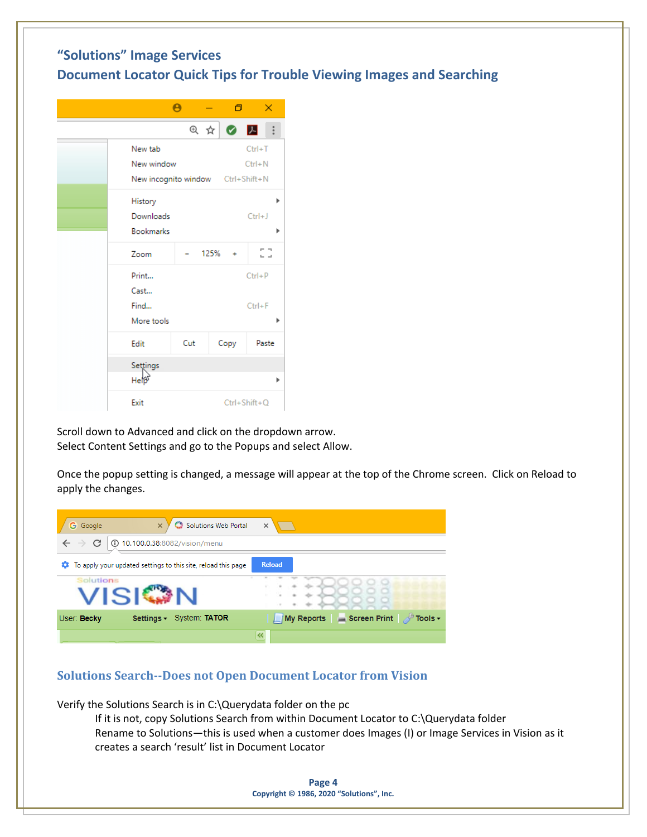

Scroll down to Advanced and click on the dropdown arrow. Select Content Settings and go to the Popups and select Allow.

Once the popup setting is changed, a message will appear at the top of the Chrome screen. Click on Reload to apply the changes.

| Solutions Web Portal<br><b>G</b> Google                            | $\times$                                         |
|--------------------------------------------------------------------|--------------------------------------------------|
| 10.100.0.38:8082/vision/menu<br>(ï)<br>$\rightarrow$               |                                                  |
| To apply your updated settings to this site, reload this page<br>o | Reload                                           |
| Solutions                                                          |                                                  |
| System: TATOR<br>User: Becky<br>Settings $\sim$                    | My Reports Screen Print<br>in Tools <del>▼</del> |
|                                                                    | 《                                                |

#### <span id="page-3-0"></span>**Solutions Search--Does not Open Document Locator from Vision**

Verify the Solutions Search is in C:\Querydata folder on the pc

If it is not, copy Solutions Search from within Document Locator to C:\Querydata folder Rename to Solutions—this is used when a customer does Images (I) or Image Services in Vision as it creates a search 'result' list in Document Locator

> **Page 4 Copyright © 1986, 2020 "Solutions", Inc.**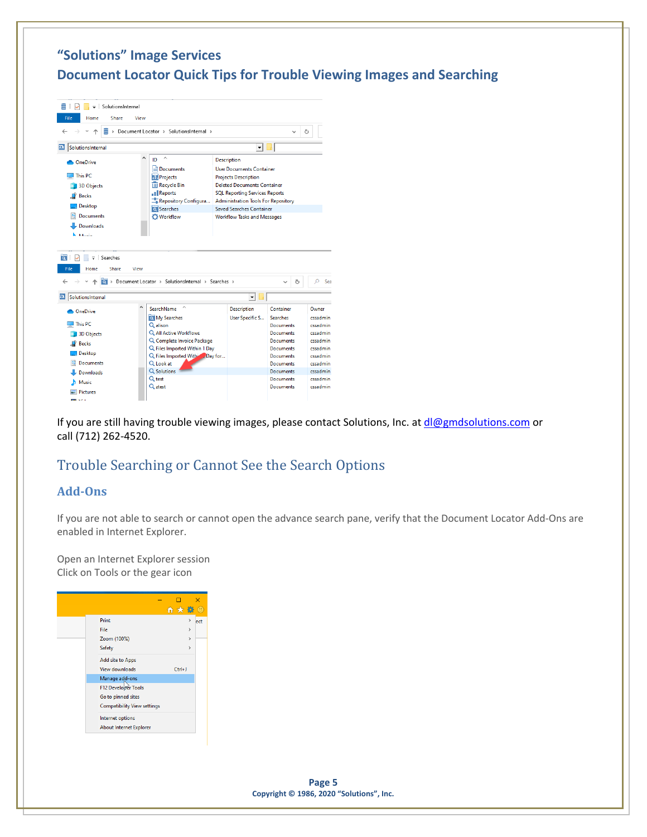| ≣<br>H.<br>SolutionsInternal<br>✓<br>$\overline{\phantom{a}}$                                                                                                                  |      |                                                                                                                                                       |                                                                                                                                                                                                                                                                                            |                                                                                                        |   |                                                                      |
|--------------------------------------------------------------------------------------------------------------------------------------------------------------------------------|------|-------------------------------------------------------------------------------------------------------------------------------------------------------|--------------------------------------------------------------------------------------------------------------------------------------------------------------------------------------------------------------------------------------------------------------------------------------------|--------------------------------------------------------------------------------------------------------|---|----------------------------------------------------------------------|
| File<br>Home<br>Share                                                                                                                                                          | View |                                                                                                                                                       |                                                                                                                                                                                                                                                                                            |                                                                                                        |   |                                                                      |
| Ξ                                                                                                                                                                              |      | > Document Locator > SolutionsInternal >                                                                                                              |                                                                                                                                                                                                                                                                                            |                                                                                                        | Ō |                                                                      |
| $\overline{\mathbf{D}}$<br>SolutionsInternal                                                                                                                                   |      |                                                                                                                                                       | ▾╎                                                                                                                                                                                                                                                                                         |                                                                                                        |   |                                                                      |
| <b>OneDrive</b><br>This PC<br><b>3D Objects</b><br><b>Becks</b><br>Desktop<br><b>Documents</b><br>Downloads<br><b>N</b> Marcia<br>$\overline{\mathbf{v}}$ Searches<br>$\alpha$ | ۸    | ID<br>Documents<br><b>Projects</b><br><b>III</b> Recycle Bin<br>.Il Reports<br>Repository Configura<br><b>Q</b> Searches<br><b>O</b> Workflow         | <b>Description</b><br><b>User Documents Container</b><br><b>Projects Description</b><br><b>Deleted Documents Container</b><br><b>SQL Reporting Services Reports</b><br><b>Administration Tools For Repository</b><br><b>Saved Searches Container</b><br><b>Workflow Tasks and Messages</b> |                                                                                                        |   |                                                                      |
| File<br>Home<br><b>Share</b><br>View                                                                                                                                           |      | Document Locator > SolutionsInternal > Searches >                                                                                                     |                                                                                                                                                                                                                                                                                            | $\checkmark$                                                                                           | Ō | $\Omega$<br>Se                                                       |
|                                                                                                                                                                                |      |                                                                                                                                                       |                                                                                                                                                                                                                                                                                            |                                                                                                        |   |                                                                      |
| $\overline{\mathbf{D}}$<br>SolutionsInternal                                                                                                                                   |      |                                                                                                                                                       | ▾╎                                                                                                                                                                                                                                                                                         |                                                                                                        |   |                                                                      |
| <b>ConeDrive</b>                                                                                                                                                               | Ä    | SearchName<br>My Searches                                                                                                                             | <b>Description</b><br><b>User Specific S</b>                                                                                                                                                                                                                                               | Container<br><b>Searches</b>                                                                           |   | Owner<br>cssadmin                                                    |
| This PC<br><b>3D Objects</b><br>$\blacksquare$ Becks<br><b>Desktop</b><br><b>Documents</b>                                                                                     |      | Q alison<br>Q All Active Workflows<br>Q. Complete Invoice Package<br>Q Files Imported Within 1 Day<br>Q. Files Imported Withing, Day for<br>Q Look at |                                                                                                                                                                                                                                                                                            | Documents<br><b>Documents</b><br><b>Documents</b><br>Documents<br><b>Documents</b><br><b>Documents</b> |   | cssadmin<br>cssadmin<br>cssadmin<br>cssadmin<br>cssadmin<br>cssadmin |
| Downloads<br><b>h</b> Music<br><b>Pictures</b><br><b>SHE SPIS</b>                                                                                                              |      | Q Solutions<br>$Q_{test}$<br>Q ztest                                                                                                                  |                                                                                                                                                                                                                                                                                            | Documents<br><b>Documents</b><br><b>Documents</b>                                                      |   | cssadmin<br>cssadmin<br>cssadmin                                     |

If you are still having trouble viewing images, please contact Solutions, Inc. at [dl@gmdsolutions.com](mailto:dl@gmdsolutions.com) or call (712) 262-4520.

## <span id="page-4-0"></span>Trouble Searching or Cannot See the Search Options

#### <span id="page-4-1"></span>**Add-Ons**

If you are not able to search or cannot open the advance search pane, verify that the Document Locator Add-Ons are enabled in Internet Explorer.

Open an Internet Explorer session Click on Tools or the gear icon

|                                    | ← ★ 德         | ×<br>$\circledast$ |
|------------------------------------|---------------|--------------------|
| Print                              |               | ect                |
| File                               | $\mathcal{P}$ |                    |
| Zoom (100%)                        | $\mathcal{P}$ |                    |
| Safety                             | $\rightarrow$ |                    |
| Add site to Apps                   |               |                    |
| <b>View downloads</b>              | $Ctrl + J$    |                    |
| Manage add-ons                     |               |                    |
| F12 Developer Tools                |               |                    |
| Go to pinned sites                 |               |                    |
| <b>Compatibility View settings</b> |               |                    |
| Internet options                   |               |                    |
| <b>About Internet Explorer</b>     |               |                    |